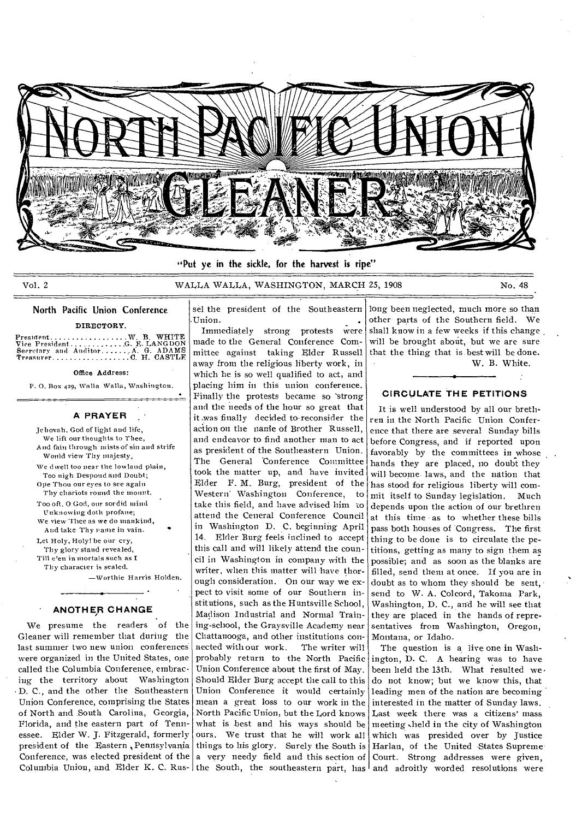

"Put ye in the sickle, for the harvest is ripe"

Vol. 2 WALLA WALLA, WASHINGTON, MARCH 25, 1908 No. 48

# North Pacific Union Conference **DIRECTORY**

President.....................W. B. WHITE<br>Vice President..............G. F. LANGDON VICE PRESIDENT GARGES<br>Vice President G. ADAMS Secretary and Auditor A G. ADAMS Treasurer C H. CASTLE

Office Address:

P. O. Box 429, Walla Walla, Washington.

•

## **A PRAYER**

Jehovah, God of light and life, We lift our thoughts to Thee, And fain through mists of sin and strife Would view Thy majesty, We dwell too near the lowland plain, Too nigh Despond and Doubt; Ope Thou our eyes to see again Thy chariots round the mount. Too oft, 0 God, our sordid mind unknowing doth profane; We view Thee as we do mankind, And take Thy Pame in vain. Let Holy, Holy! be our cry, Thy glory stand revealed, Till e'en in mortals such as I Thy character is sealed.

—Worthie Harris Holden.

## **ANOTHER CHANGE**

We presume the readers of the Gleaner will remember that during the last summer two new union conferences were organized in the United States, one called the Columbia Conference, embracing the territory about Washington • D. C., and the other the Southeastern Union Conference, comprising the States of North and South Carolina, Georgia, Florida, and the eastern part of Tennessee. Elder W. J. Fitzgerald, formerly president of the Eastern, Pennsylvania Conference, was elected president of the  $|a|$  very needy field and this section of

sel the president of the Southeastern

Columbia Union, and Elder K. C. Rus- the South, the southeastern part, has and adroitly worded resolutions were •Union. • Immediately strong protests were made to the General Conference Committee against taking Elder Russell away from the religious liberty work, in which he is so well qualified to act, and placing him in this union conference. Finally the protests became so 'strong and the needs of the hour so great that it ,was finally decided to-reconsider the action on the nanie of Brother Russell, and endeavor to find another man to act as president of the Southeastern Union. The General Conference Committee took the matter up, and have invited Elder F. M. Burg, president of the Western' Washington Conference, to take tins field, and have advised him to attend the Ceneral Conference Council in Washington D. C. beginning April 14. Elder Burg feels inclined to accept this call and will likely attend the council in Washington in company with the writer, when this matter will have thorough consideration. On our way we expect to visit some of our Southern institutions, such as the Huntsville School, Madison Industrial and Normal Training-school, the Graysville Academy near Chattanooga, and other institutions connected with our work. The writer will probably return to the North Pacific Union Conference about the first of May. Should Elder Burg accept the call to this Union Conference it would certainly mean a great loss to our work in the North Pacific Union, but the Lord knows what is best and his ways should be ours. We trust that he will work all things to his glory. Surely the South is

long been neglected, much more so than other parts of the Southern field. We shall know in a few weeks if this change will be brought about, but we are sure that the thing that is best will be done. W. B. White.

## **CIRCULATE THE PETITIONS**

It is well understood by all our brethren in the North Pacific Union Conference that there are several Sunday bills before Congress, and if reported upon favorably by the committees in whose hands they are placed, no doubt they will become laws, and the nation that has stood for religious liberty will commit itself to Sunday legislation. Much depends upon the action of our brethren at this time as to whether these bills pass both houses of Congress. The first thing to be done is to circulate the petitions, getting as many to sign them as. possible; and as soon as the blanks are filled, send them at once. If you are in doubt as to whom they should be sent, send to W. A. Colcord, Takoma Park, Washington, D. C., and he will see that they are placed in the hands of representatives from Washington, Oregon, Montana, or Idaho.

The question is a live one in Washington, D. C. A hearing was to have been held the 13th. What resulted we. do not know; but we know this, that leading men of the nation are becoming interested in the matter of Sunday laws. Last week there was a citizens' mass meeting sheld in the city of Washington which was presided over by Justice Harlan, of the United States Supreme Court. Strong addresses were given,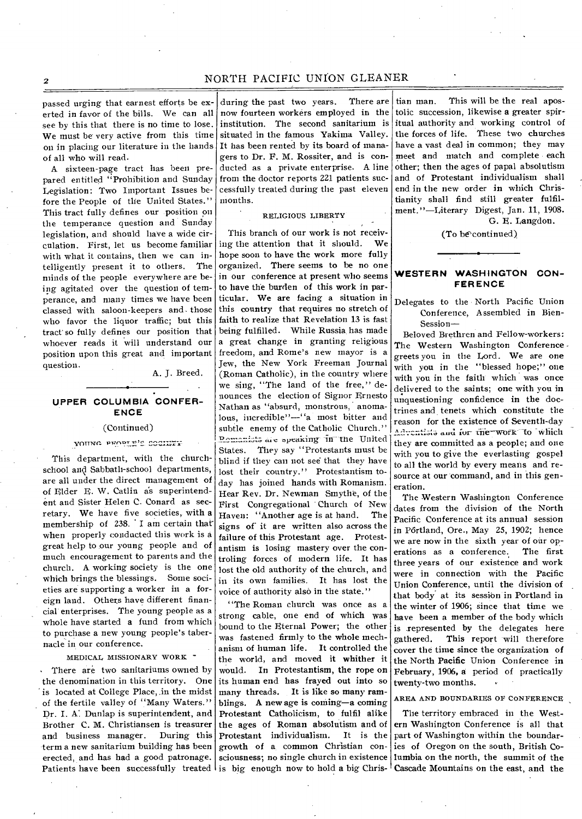passed urging that earnest efforts he exerted in favor of the bills. We can all see by this that there is no time to lose. We must be very active from this time on in placing our literature in the hands of all who will read.

A sixteen-page tract has been prepared entitled "Prohibition and Sunday Legislation: Two Important Issues before the People of the United States." This tract fully defines our position on the temperance question and Sunday legislation, and should have a wide circulation. First, let us become familiar with what it contains, then we can intelligently present it to others. The minds of the people everywhere are being agitated over the question of temperance, and many times we have been classed with saloon-keepers and- those who favor the liquor traffic; but this tract' so fully defines our position that whoever reads it will understand our position upon this great and important question.

A. J. Breed.

# **UPPER COLUMBIA CONFER-ENCE**

#### (Continued)

## VOUNG PROPIE'S SOCIIET

This department, with the churchschool and Sabbath-school departments, are all under the direct management of of Elder E. W. Catlin as superintendent and Sister Helen C. Conard as secretary. We have five societies, with a membership of 238. I am certain that when properly conducted this work is a great help to our young people and of much encouragement to parents and the church. A working society is the one Which brings the blessings. Some societies are supporting a worker in a foreign land. Others have different financial enterprises. The young people as a whole have started a fund from which to purchase a new young people's tabernacle in our conference.

## MEDICAL MISSIONARY WORK "

There are two sanitariums owned by the denomination in this territory. One is located at College Place, in the midst of the fertile valley of "Many Waters." Dr. I. A: Dunlap is superintendent, and Brother C. M. Christiansen is treasurer<br>and business manager. During this and business manager. term a new sanitarium building has been erected, and has had a good patronage. Patients have been successfully treated is big enough now to hold a big Chris- Cascade Mountains on the east, and the

during the past two years. There are now fourteen workers employed in the institution. The second sanitarium is situated in the famous Yakima Valley. It has been rented by its board of managers to Dr. F. M. Rossiter, and is conducted as a private enterprise. A line from the doctor reports 221 patients successfully treated during the past eleven months.

#### RELIGIOUS LIBERTY  $\mathbf{e}^{\mathbf{H}}$  , , , ,

This branch of our work is not receiving the attention that it should. We hope soon to have the work more fully organized. There seems to be no one in our conference at present who seems to have the burden of this work in particular. We are facing a situation in this country that requires no stretch of faith to realize that Revelation 13 is fast being fulfilled. While Russia has made a great change in granting religious freedom, and Rome's new mayor is a Jew, the New York Freeman Journal (Roman Catholic), in the country where we sing, "The land of the free," denounces the election of Signor Ernesto Nathan as "absurd, monstrous, anomalous, incredible"—"a most bitter and subtle enemy of the Catholic Church." Pemanists are speaking in the United States. They say "Protestants must be blind if they can not see that they have lost their country." Protestantism today has joined hands with Romanism. Hear Rev. Dr. Newman Smythe, of the First Congregational Church of New Haven: "Another age is at hand. The signs of it are written also across the failure of this Protestant age. Protestantism is losing mastery over the controling forces of modern life. It has lost the old authority of the church, and in its own families. It has lost the voice of authority also in the state."

"The Roman church was once as a strong cable, one end of which was bound to the Eternal Power; the other was fastened firmly to the whole mechanism of human life. It controlled the the world, and moved it whither it<br>would. In Protestantism, the rope on In Protestantism, the rope on its human end has frayed out into so many threads. It is like so many ramblings. A new age is coming—a coming Protestant Catholicism, to fulfil alike the ages of Roman absolutism and of Protestant individualism. It is the growth of a common Christian consciousness; no single church in existence lumbia on the north, the summit of the

tian man. This will be the real apostolic succession, likewise a greater spiritual authority and working control of the forces of life. These two churches have a vast deal in common; they may meet and match and complete each other; then the ages of papal absolutism and of Protestant individualism shall end in the new order in which Christianity shall find still greater fulfilment."—Literary Digest, Jan. 11, 1908. G. E. Langdon.

(To be continued)

# **WESTERN WASHINGTON CON-FERENCE**

Delegates to the North Pacific Union Conference, Assembled in Bien-Session—

Beloved Brethren and Fellow-workers: The Western Washington Conference. greets you in the Lord. We are one with you in the "blessed hope;" one with you in the faith which was once delivered to the saints; one with you in unquestioning confidence in the doctrines and tenets which constitute the reason for the existence of Seventh-day Adventists and for the work to which they are committed as a people; and one with you to give the everlasting gospel to all the world by every means and resource at our command, and in this generation.

The Western Washington Conference dates from the division of the North Pacific Conference at its annual session in Pôrtland, Ore., May 25, 1902; hence we are now in the sixth year of our operations as a conference. The first three years of our existence and work were in connection with the Pacific Union Conference, until the division of that body.at its session in Portland in the winter of 1906; since that time we have been a member of the body which is represented by the delegates here gathered. This report will therefore cover the time since the organization of the North Pacific Union Conference in February, 1906, a period of practically twenty-two months.

## AREA AND BOUNDARIES OF CONFERENCE

The territory embraced in the Western Washington Conference is all that part of Washington within the boundaries of Oregon on the south, British Co-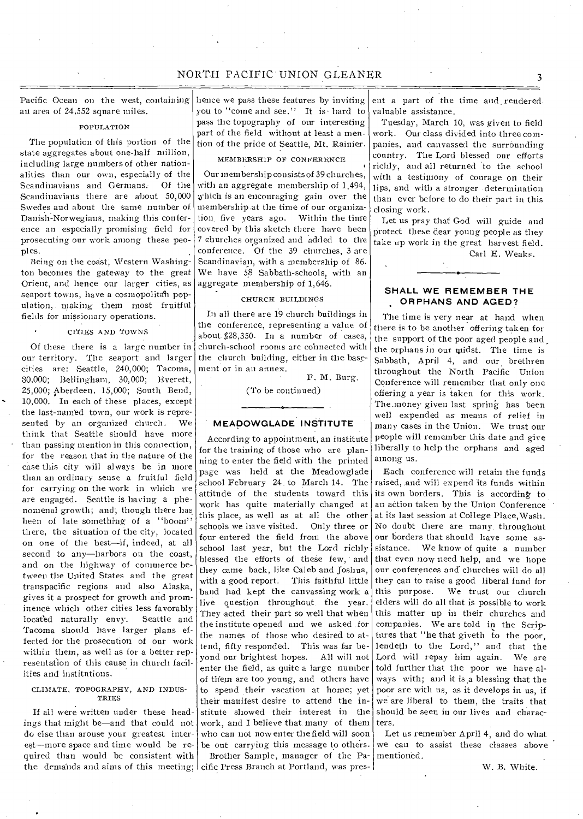an area of 24,552 square miles.

## POPULATION

The population of this portion of the state aggregates about one-half million, including large numbers of other nationalities than our own, especially of the Scandinavians and Germans: Of the Scandinavians there are about 50,000 Swedes and about the same number of Danish-Norwegians, making this conference an especially promising field for prosecuting our work among these peoples.

Being on the coast; Western Washington becomes the gateway to the great Orient, and hence our larger cities, as seaport towns, have a cosmopolitan population, making them most fruitful fields for missionary operations.

## CITIES AND TOWNS

Of these there is a large number in our territory. The seaport and larger cities are: Seattle, 240,000; Tacoma, 80,000; Bellingham, 30,000; Everett, 25,000; Aberdeen, 15,000; South Bend, 10,000. In each of these places, except the last-named town, our work is represented by an organized church. We think that Seattle should have more than passing mention in this connection, for the reason that in the nature of the case this city will always be in more than an ordinary sense a fruitful field for carrying on the work in which we are engaged. Seattle is having a phenomenal growth; and, though there has been of late something of a "boom" there, the situation of the city, located on one of the best—if, indeed, at all second to any—harbors on the coast, and on the highway of commerce between the United States and the great transpacific regions and also Alaska, gives it a prospect for growth and prominence which other cities less favorably<br>located naturally envy. Seattle and located naturally envy. Tacoma should have larger plans effected for the prosecution of our work within them, as well as for a better representation of this cause in church facilities and institutions.

#### CLIMATE, TOPOGRAPHY, AND INDUS-**TRIES**

If all were written under these headings that might be—and that could not do else than arouse your greatest interest—more space and time would be required than would be consistent with the demands and aims of this meeting;

Pacific Ocean on the west, containing hence we pass these features by inviting you to "come and see." It is hard to pass the topography of our interesting part of the field without at least a mention of the pride of Seattle, Mt. Rainier.

## MEMBERSHIP OF CONFERENCE

Our membership consists of 39 churches, with an aggregate membership of 1,494, which is an encouraging gain over the membership .at the time of our organization five years ago. Within the time covered by this sketch there have been 7 churches organized and added to the conference. Of the 39 churches, 3 are Scandinavian, with a membership of 86. We have 58 Sabbath-schools, with an aggregate membership of 1,646.

## CHURCH BUILDINGS

In all there are 19 church buildings in the conference, representing a value of about \$28,350. In a number of cases, church-school rooms are connected with the church building, either in the basement or in an annex.

F. M. Burg.

(To be continued)

#### **MEADOWGLADE INSTITUTE**

According to appointment, an institute for the training of those who are planning to enter the field with the printed page was held at the Meadowglade school February 24 to March 14. The attitude of the students toward this work has quite materially changed at this place, as well as at all the other schools we have visited. Only three or four entered the field from the above school last year, but the Lord richly blessed the efforts of these few, and they came back, like Caleb and Joshua, with a good report. This faithful little band had kept the canvassing work a live question throughout the year. They acted their part so well that when the institute opened and we asked for the names of those who desired to attend, fifty responded. This was far beyond our brightest hopes. All will not enter the field, as quite a large number of them are too young, and others have to spend their vacation at home; yet their manifest desire to attend the institute showed their interest in the work, and I believe that many of them who call not now enter the field will soon be out carrying this message to others. Brother Sample, manager of the Pa-mentioned. cific Press Branch at Portland, was pres-

ent a part of the time and rendered valuable assistance.

Tuesday, March 10, was given to field work. Our class divided into three companies, and canvassed the surrounding country. The Lord blessed our efforts richly, and all returned to the school with a testimony of courage on their lips, and with a stronger determination than ever before to do their part in this closing work.

Let us pray that God -will guide and protect these dear young people as they take up work in the great harvest field. Carl E. Weaks.

## **SHALL WE REMEMBER THE ORPHANS AND AGED?**

The time is very near at hand when there is to be another offering taken for the support of the poor aged people and the orphans in our midst. The time is Sabbath, April 4, and our brethren throughout the North Pacific Union Conference will remember that only one offering a year is taken for this work. The.money given last spring has been well expended as-means of relief in many cases in the Union. We trust our people will remember this date and give liberally to help the orphans and aged among us.

Each conference will retain the funds raised, and will expend its funds within its own borders. This is according to an action taken by the Union Conference at its last session at College Place,Wash. No doubt there are many. throughout our borders that should have some assistance. We know of quite a number that even now need help, and we hope our conferences and churches will do all they can to raise a good liberal fund for this purpose. We trust our church elders will do all that is possible to work this matter up in their churches and companies. We are told in the Scriptures that "he that giveth to the poor, lendeth to the Lord," and that the Lord will repay him again. We are told further that the poor we have always with; and it is a blessing that the poor are with us, as it develops in us, if we are liberal to them, the traits that should be seen in our lives and characters.

Let us remember April 4, and do what we can to assist these classes above

W. B. White.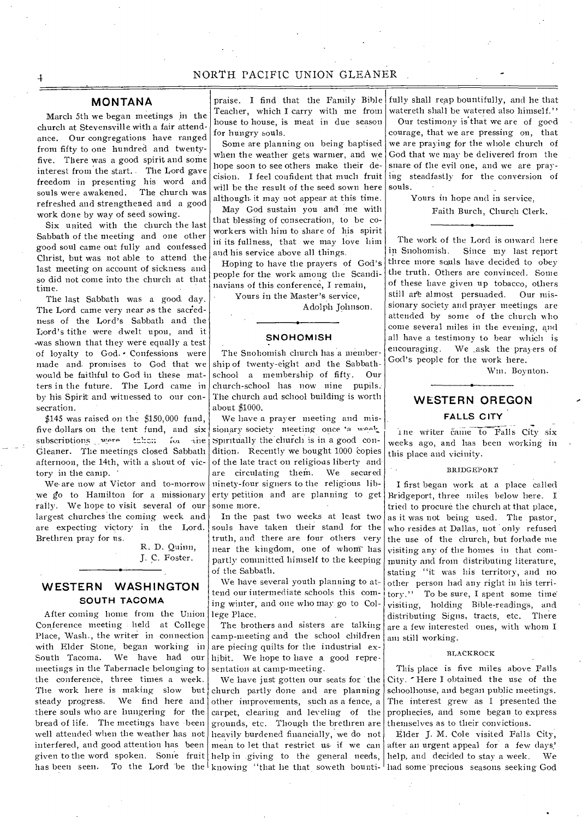March 5th we began meetings in the church at Stevensville with a fair attendance. Our congregations have ranged from fifty to one hundred and twentyfive. There was a good spirit and some interest from the start.. The Lord gave freedom in presenting his word and souls were awakened. The church was refreshed and strengthened and a good work done by way of seed sowing.

Six united with the church the last Sabbath of the meeting and one other good soul came out fully and confessed Christ, but was not able to attend the last meeting on account of sickness and so did not come into the church at that time.

The last Sabbath was a good. day. The Lord came very near as the sacredness of the Lord's Sabbath and the Lord's tithe were dwelt upon, and it -was shown that they were equally a test of loyalty to God. - Confessions were made and. promises to God that we would be faithful to God in these matters in the future. The Lord came in by his Spirit and witnessed to our consecration.

\$145 was raised on the \$150,000 fund, five dollars on the tent fund, and six<br>subscriptions were taken for the subscriptions were  $\int_{\mathbf{r}}$  $\sin \theta$ Gleaner. The meetings closed Sabbath afternoon, the 14th, with a shout of victory in the camp.

We- are now at Victor and to-morrow we go to Hamilton for a missionary rally. We hope to visit several of our largest churches the coming week and are expecting victory in the Lord. Brethren pray for us.

R. D. Quinn, J. C. Foster.

# **WESTERN WASHINGTON SOUTH TACOMA**

After coming home from the Union Conference meeting held at College Place, Wash., the writer in connection with Elder Stone, began working in South Tacoma. We have had our meetings in the Tabernacle belonging to the conference, three times a week. The work here is making slow but steady progress. We find here and there souls who are hungering for the bread of life. The meetings have -been well attended when the weather has not interfered, and good attention has been given to the word spoken. Some fruit help in giving to the general needs,

Teacher, which I carry with me from house to house, is meat in due season for hungry souls.

Some are planning on being baptised when the weather gets warmer, and we hope soon to see others make their decision. I feel confident that much fruit will be the result of the seed sown here although. it may not appear at this time.

May God sustain you and me with that blessing of consecration, to be coworkers with him to share of his spirit in its fullness, that we may love him and his service above all things.

Hoping to have the prayers of God's people for the work among the Scandinavians of this conference, I remain,

Yours in the Master's service,

Adolph Johnson.

# **SNOHOMISH**

The Snohomish church has a membership of twenty-eight and the Sabbath-<br>school a membership of fifty. Our school a membership of fifty. church-school has now nine pupils.- The church and school building is worth about \$1000.

We have a prayer meeting and missionary society meeting once 'a week spiritually the church is in a good condition. Recently we bought 1000 copies of the late tract on religious liberty andare circulating them. We secured ninety-four signers to the religious liberty petition and are planning to get some more.

In the past two weeks at least two souls have taken their stand for the truth, and there are four others very near the kingdom, one of whom has partly committed himself to the keeping of the Sabbath.

We have several youth planning to attend our intermediate schools this coming winter, and one who may go to College Place.

The brothers and sisters are talking camp-meeting and the school children are piecing quilts for the industrial exhibit. We hope to have a good representation at camp-meeting.

has been seen. To the Lord be the knowing "that he that soweth bounti- had some precious seasons seeking God We have just gotten our seats for the church partly done and are planning other improvements, such as a fence, a carpet, clearing and leveling of the grounds, etc. Though the brethren are heavily burdened financially, we do not mean to let that restrict us if we can

**MONTANA praise.** I find that the Family Bible fully shall reap bountifully, and he that watereth shall be watered also himself."

Our testimony is that we are of good courage, that we are pressing on, that we are praying for the whole church of God that we may he delivered from the snare of the evil one, and we are praying steadfastly for the conversion of souls.

Yours in hope and in service,

Faith Burch, Church Clerk.

The work of the Lord is onward here in Snohomish. Since my last report three more souls have decided to obey the truth. Others are convinced. Some of these have given up tobacco, others still are almost persuaded. Our missionary society and prayer meetings are attended by some of the church who come several miles in the evening, and all have a testimony to bear which is encouraging. We \_ask the prayers of God's people for the work here.

\Vin. Boynton.

# **WESTERN OREGON FALLS CITY**

ine writer came to Falls City six weeks ago, and has been working in this place and vicinity.

BRIDGEPORT

I first began work at a place called Bridgeport, three miles below here. I tried to procure the church at that place, as it was not being used. The pastor, who resides at Dallas, not 'only refused the use of the church, but forbade me visiting any of the homes in that community and from distributing literature, stating "it was his territory, and no other person had any right in his territory." To be sure, I spent some time visiting, holding Bible-readings, and distributing Signs, tracts, etc. There are a few interested ones, with whom I am still working.

#### BLACKROCK

This place is five miles above Falls City. 'Here I obtained the use of the schoolhouse, and began public meetings. The interest grew as I presented the prophecies, and some began to express themselves as to their convictions.

Elder J. M. Cole visited Falls City, after an urgent appeal for a few days' help, and decided to stay a week. We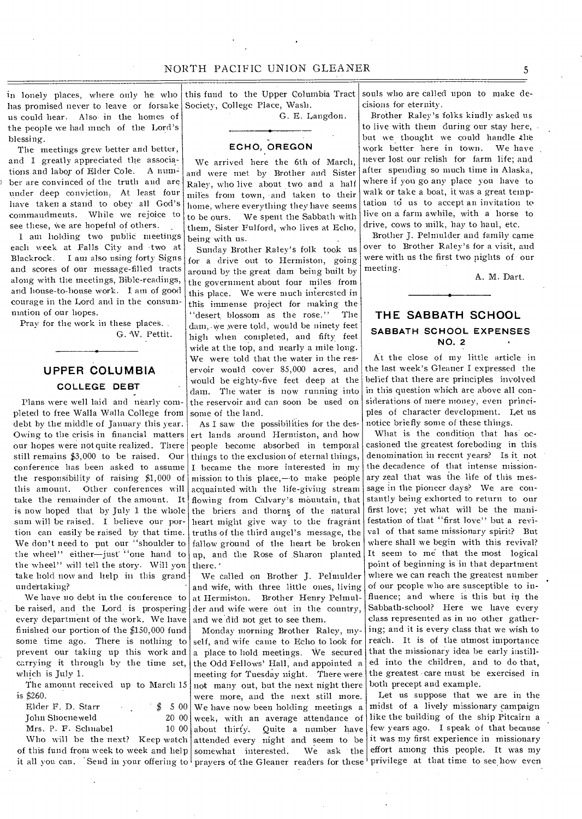this fund to the Upper Columbia Tract

in lonely places, where only he who has promised never to leave or forsake Society, College Place, Wash. us could hear. Also, in the homes of the people we had much of the Lord's blessing.

The meetings grew better and better, and I greatly appreciated the associations and labor of Elder Cole. ber are convinced of the truth and are under deep conviction. At least four have taken a stand to obey all God's commandments. While we rejoice to see these, we are hopeful of others.

I am holding two public meetings each week at Falls City and -two at Blackrock. I am also using forty Signs and scores of our message-filled tracts along with the meetings, Bible-readings, and house-to-house work. I am of good courage in the Lord and in the consummation of our hopes.

Pray for the work in these places. . G. W. Pettit.

# **UPPER COLUMBIA COLLEGE DEBT**

Plans were well laid and nearly completed to free Walla Walla College from debt by the middle of January this year. Owing to the crisis in financial matters our hopes were not quite realized. There still remains \$3,000 to be raised. Our conference has been asked to assume the responsibility of raising \$1,000 of this amount. Other conferences will take the remainder of the amount. It is now hoped that by July 1 the whole sum will be raised. I believe our portion can easily be raised by that time. We don't need to put our "shoulder to the wheel" either—just "one hand to the wheel" will tell the story. Will you take hold now and help in this grand undertaking?

We have no debt in the conference to be raised, and the Lord is prospering every department of the work. We have finished our portion of the \$150,000 fund some time ago. There is nothing to prevent our taking up this work and carrying it through by the time set, which is July 1.

The amount received up to March 15 is \$260.

| Elder F. D. Starr   | $\sim$ |  |  | \$500 |  |
|---------------------|--------|--|--|-------|--|
| John Shoeneweld     |        |  |  | 20 00 |  |
| Mrs. P. F. Schnabel |        |  |  | 1000  |  |
|                     |        |  |  |       |  |

of this fund from week to week and help somewhat interested. We ask the Who will be the next? Keep watch

G. E. Langdon.

## **ECHO, OREGON**

We arrived here the 6th of March, and were met by Brother and Sister Raley, who live about two and a half miles from town, •and taken to their home, where everything they have seems to be ours. We spent the Sabbath-with them, Sister Fulford, who lives at Echo, being with us.

Sunday Brother Raley's folk took us for a drive out to Hermiston, going around by the great dam being built by the government about four miles from this place. We were much interested in this immense project for making the "desert blossom as the rose." The dam,.we were told, would be ninety feet high when completed, and fifty feet wide at the top, and nearly a mile long. We were told that the water in the reservoir would cover 85,000 acres, and would be eighty-five feet deep at the dam. The water is now running into the reservoir and can soon be used on some of the land.

As I saw the possibilities for the desert lands around Hermiston, and how people become absorbed in temporal things to the exclusion of eternal things, I became the more interested in my mission to this place, $-$ to make people acquainted with the life-giving stream flowing from Calvary's mountain, that the briers and thorns of the natural heart might give way to the fragrant truths of the third angel's message, the fallow ground of the heart be broken there.'

We called on Brother J. Pelmulder and wife, with three little ones, living at Hermiston. Brother Henry Pelmulder and wife were out in the country, and we did not get to see them.

Monday morning Brother Raley, myself, and wife came to Echo to look for a place to hold meetings. We secured the Odd Fellows' Hall, and appointed a meeting for Tuesday night. There were not many out, but the next night there were more, and the next still more. We have now been holding meetings a week, with an average attendance of like the building of the ship Pitcairn a about thirty. Quite a number have few years ago. I speak of that because attended every night and seem to be it was my first experience in missionary it all you can. Send in your offering to prayers of the Gleaner readers for these privilege at that time to see how even

souls who are called upon to make decisions for eternity.

Brother Raley's folks kindly asked us to live with them during our stay here, but we thought we could handle the<br>work better here in town. We have work better here in town. never lost our relish for farm life; and after spending so much time in Alaska, where if you go any place you have to walk or take a boat, it was a great temptation to us to accept an invitation to live on a farm awhile, with a horse to drive, cows to milk, hay to haul, etc.

Brother J. Pelmulder and family came over to Brother Raley's for a visit, and were with us the first two nights of • our meeting.

A. M. Dart.

# **THE SABBATH SCHOOL SABBATH SCHOOL EXPENSES NO. 2**

At the close of my little article in the last week's Gleaner I expressed the belief that there are principles involved in this question which are above all considerations of mere money, even principles of character development. Let us notice briefly some of these things.

up, and the Rose of Sharon planted It seem to me that the most logical What is the condition that has occasioned the greatest foreboding in this denomination in recent years? Is it not the decadence of that intense missionary zeal that was the life of this message in the pioneer days? We are constantly being exhorted to return to our first love; yet what will be the manifestation of that "first love" but a revival of that same missionary spirit? But where shall we begin with this revival? point of beginning is in that department where we can reach the greatest number of our people who are susceptible to influence; and where is this but in the Sabbath-school? Here we have every class represented as in no other gathering; and it is every class that we wish to reach. It is of the utmost importance that the missionary idea be early instilled into the children, and to do that, the greatest care must be exercised in both precept and example.

> Let us suppose that we are in the midst of a lively missionary campaign We ask the effort among this people. It was my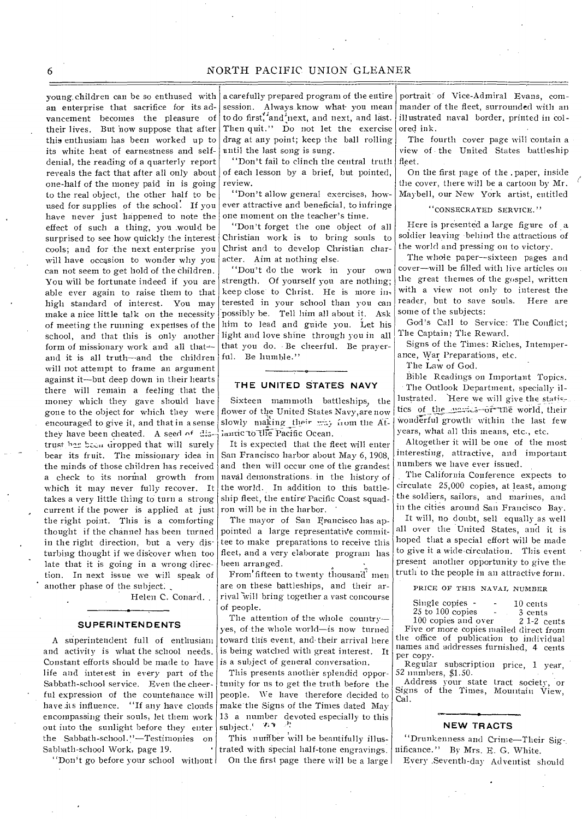young. children can be so enthused with an enterprise that sacrifice for its advancement becomes the pleasure of their lives. But now suppose that after this enthusiam has been worked up to its white heat of earnestness and selfdenial, the reading of a quarterly report reveals the fact that after all only about one-half of the money paid in is going to the real object, the other half to be used for supplies of the school. If you have never just happened to note the effect of such a thing, you would be surprised to see how quickly the interest cools; and for the next enterprise you will have occasion to wonder why you can not seem to get hold of the children. You will be fortunate indeed if you are able ever again to raise them to that high standard of interest. You may make a nice little talk on the necessity of meeting the running expenses of the school, and that this is only another form of missionary work and all that-and it is all truth—and the children will not attempt to frame an argument against it—but deep down in their hearts there will remain a feeling that the money which they gave should have gone to the object for which they were encouraged to give it, and that in a sense they have been cheated. A seed of distrust has been dropped that will surely bear its fruit. The missionary idea in the minds of those children has received a check to its normal growth from which it may never fully recover. It takes a very little thing to turn a strong current if the power is applied at just the right point. This is a comforting thought if the channel has been turned in the right direction, but a very disturbing thought if we discover when too late that it is going in a wrong direction. In next issue we will speak of another phase of the subject:

Helen C. Conard. .

#### **SUPERINTENDENTS**

A superintendent full of enthusiam and activity is what the school needs. Constant efforts should be made to have is a subject of general conversation. life and interest in every part of the Sabbath-school service. Even the cheerful expression of the countenance will have its influence. <sup>''</sup>If any have clouds encompassing their souls, let them work out into the sunlight before they enter the Sabbath-school."—Testimonies on Sabbath-school Work, page 19.

"Don't go before your school without

a carefully prepared program of the entire session. Always know what you mean to do first, and next, and next, and last. Then quit." Do not let the exercise drag at any point; keep the ball rolling until the last song is sung.

"Don't fail to clinch the central truth of each lesson by a brief, but pointed, review.

"Don't allow general exercises, however attractive and beneficial, to infringe one moment on the teacher's time.

"Don't forget the one object of all Christian work is to bring souls to Christ and to develop Christian character. Aim at nothing else.

"Don't do the work in your own strength. Of yourself you are nothing; keep close to Christ. He is more interested in your school than you can possibly be. Tell him all about it. Ask him to lead and guide you. Let his light and love shine through you in all that you do. Be cheerful. Be prayerful. Be humble."

#### **THE UNITED STATES NAVY**

Sixteen mammoth battleships, the flower of the United States Navy,are now slowly making their way nom the Atlantic to the Pacific Ocean.

It is expected that the fleet will enter San Francisco harbor about May 6, 1908, and then will occur one of the grandest naval demonstrations. in the history of the world. In addition to this battleship fleet, the entire Pacific Coast squadron will be in the harbor.

The mayor of San Francisco has appointed a large representative committee to make preparations to receive this fleet, and a very elaborate program has been arranged.

From fifteen to twenty thousand men are on these battleships, and their arrival will bring together a vast concourse of people.

The attention of the whole country yes, of-the whole world—is now turned toward this event, and. their arrival here is being watched with great interest. It

This presents another splendid opportunity for us to get the truth before the people. We have therefore decided to make the Signs of the Times dated May 13 a number devoted especially to this subject.' ''

This nutifber will be beautifully illustrated with special half-tone engravings. On the first page there will be a large portrait of Vice-Admiral Evans, commander of the fleet, surrounded with an illustrated naval border, printed in colored ink.

The fourth cover page will contain a view of the United States battleship fleet.

On the first page of the . paper, inside the cover, there will be a cartoon by Mr. Maybell, our New York artist, entitled

'CONSECRATED SERVICE.

Here is presented a large figure of a soldier leaving behind the attractions of the world and pressing on to victory.

The whole paper—sixteen pages and cover—will be filled with live articles on the great themes of the gospel, written with a view not only to interest the reader, but to save souls. Here are some of the subjects:

God's Call to Service: The Conflict; The Captain; The Reward.

Signs of the Times: Riches, Intemperance, War Preparations, etc.

The Law of God.

Bible Readings on Important Topics.

The Outlook Department, specially illustrated. Here we will give the statictics of the marries or the world, their wonderful growth within the last few years, what all this means, etc., etc.

Altogether it will be one of the most interesting, attractive, and important numbers we have ever issued.

The California Conference expects to circulate 25,000 copies, at least, among the soldiers, sailors, and marines, and in the cities around San Francisco Bay.

It will, no doubt, sell equally as well all over the United States, and it is hoped that a special effort will be made to give it a wide-circulation. This event present another opportunity to give the truth to the people in an attractive form.

PRICE OF THIS NAVAL NUMBER

| Single copies -       | $10$ cents     |
|-----------------------|----------------|
| 25 to 100 copies<br>- | 3 cents        |
| 100 copies and over   | $2\,1-2$ cents |

Five or more copies mailed direct from the office of publication to individual names and addresses furnished, 4 cents per copy.

Regular subscription price, 1 year, 52 numbers, \$1.50.

Address your state tract societv, or Signs of the Times, Mountain View, Cal.

## **NEW TRACTS**

"Drunkenness and Crime—Their Sig-. nificance." By Mrs. E. G. White.

Every .Seventh-day Adventist should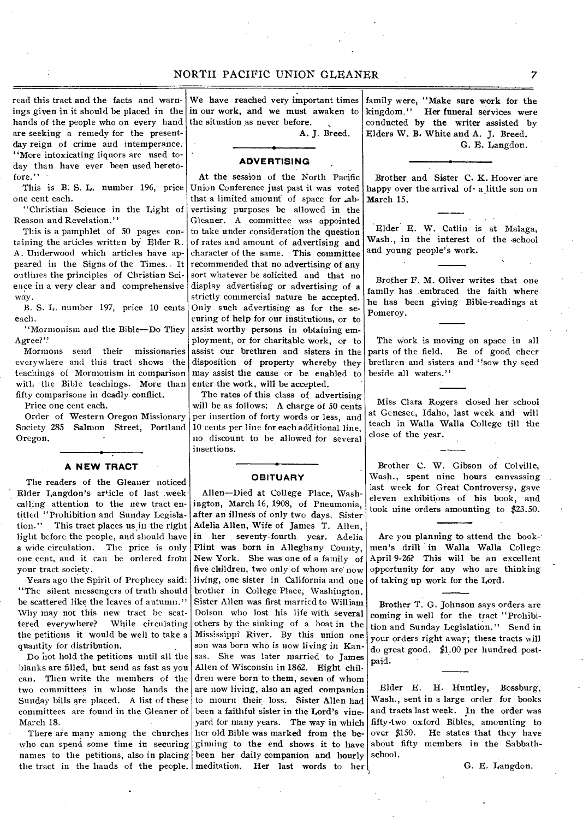read this tract and the facts and warnings given in it should be placed in the in our work, and we must awaken to hands of the people who on every hand the situation as never before. are seeking a remedy for the presentday reign of crime and intemperance. "More intoxicating liquors are used today than have ever been used heretofore."

This is B. S. L. number 196, price one cent each.

"Christian Science in the Light of Reason and Revelation."

This is a pamphlet of 50 pages containing the articles written by Elder R. A . Underwood which articles have appeared in the Signs of the Times.. It outlines the principles of Christian Sci, ence in a very clear and comprehensive way.

B. S. L. number 197, price 10 cents each.

"Mormonism and the Bible—Do They Agree?'.'

Mormons send their missionaries everywhere and this tract shows the teachings of Mormonism in comparison with the Bible teachings. More than fifty comparisons in deadly conflict.

Price one cent each.

Order of Western Oregon Missionary Society 285 Salmon Street, Portland Oregon.

## **A NEW TRACT**

The readers of the Gleaner noticed Elder Langdon's article of last .week calling attention to the new tract entitled "Prohibition and Sunday Legislation." This tract places us in the right light before the people, and should have a wide circulation. The price is only one cent, and it can be ordered from your tract society.

Years ago the Spirit of Prophecy said: "The silent messengers of truth should be scattered like the leaves of autumn." Why may not this new tract be scattered everywhere? While circulating the petitions it would be well to take a quantity for distribution.

Do hot hold the petitions until all the blanks are filled, but send as fast as you can. Then write the members of the two committees in whose hands the Sunday bills are placed. A list of these committees are found in the Gleaner of March 18.

There are many among the churches who can spend some time in securing ginning to the end shows it to have names to the petitions, also in placing been her daily companion and hourly

We have reached very important times

A. J. Breed.

**ADVERTISING ,** 

At the session of the North Pacific Union Conference just past it was voted that a limited amount of space for .abvertising purposes be allowed in the Gleaner. A committee was appointed to take under consideration the question of rates and amount of advertising and character of the same. This committee recommended that no advertising of any sort whatever be solicited and that no display advertising or advertising of a strictly commercial nature be accepted. Only such advertising as for the securing of help for our institutions, or to assist worthy persons in obtaining employment, or for charitable work, or to assist our brethren and sisters in the disposition of property whereby they may assist the cause or be enabled to enter the work, will be accepted.

The rates of this class of advertising will be as follows: A charge of 50 cents per insertion of forty words or less, and 10 cents per line for each additional line, no discount to be allowed for several insertions.

## **OBITUARY**

the tract in the hands of the people. meditation. Her last words to her Allen—Died at College Place, Washington, March 16, 1908, of Pneumonia, after an illness of only two days, Sister Adelia Allen, Wife of James T. Allen, in her seventy-fourth. year. Adelia Flint was born in Alleghany County, New York. She was one of a family of five children, two only of whom are now living, one sister in California and one brother in College Place, Washington. Sister Allen was first married to William Dolson who lost his life with several others by the sinking of a boat in the Mississippi River. By this union one son was born who is now living in Kansas. She was later married to James Allen of Wisconsin in 1862. Eight children were born to them, seven of whom are now living, also an aged companion to mourn their loss. Sister Allen had been a faithful sister in the Lord's vineyard for many years. The way in which her old Bible was marked from the be-

family were, "Make sure work for the<br>kingdom." Her funeral services were Her funeral services were conducted by the writer assisted by Elders W. **B,** White and A. J. Breed. G. E. Langdon.

Brother and Sister C. K. Hoover are happy over the arrival of  $\cdot$  a little son on March 15.

Elder E. W. Catlin is at Malaga, Wash., in the interest of the school and young people's work.

Brother F. M. Oliver writes that one family has embraced the faith where he has been giving Bible-readings at Pomeroy.

The work is moving on apace in all parts of the field. Be of good cheer brethren and sisters and "sow thy seed beside all waters."

Miss Clara Rogers closed her school at Genesee, Idaho, last week and will teach in Walla Walla College till the close of the year.

Brother C. W. Gibson of Colville, Wash., spent nine hours canvassing last week for Great Controversy, gave eleven exhibitions of his book, and took nine orders amounting to \$23.50.

Are you planning to attend the book men's drill in Walla Walla College April 9-26? This will be an excellent opportunity for any who are thinking of taking up work for the Lord.

Brother T. G. Johnson says orders are coming in well for the tract "Prohibition and Sunday Legislation." Send in your orders right away; these tracts will do great good. \$1.00 per hundred postpaid.

Elder E. H. Huntley, Bosshurg, Wash., sent in a large order for books and tracts last week. In the order was fifty-two oxford Bibles, amounting to over \$150. He states that they have about fifty members in the Sabbathschool.

G. E. Langdon.